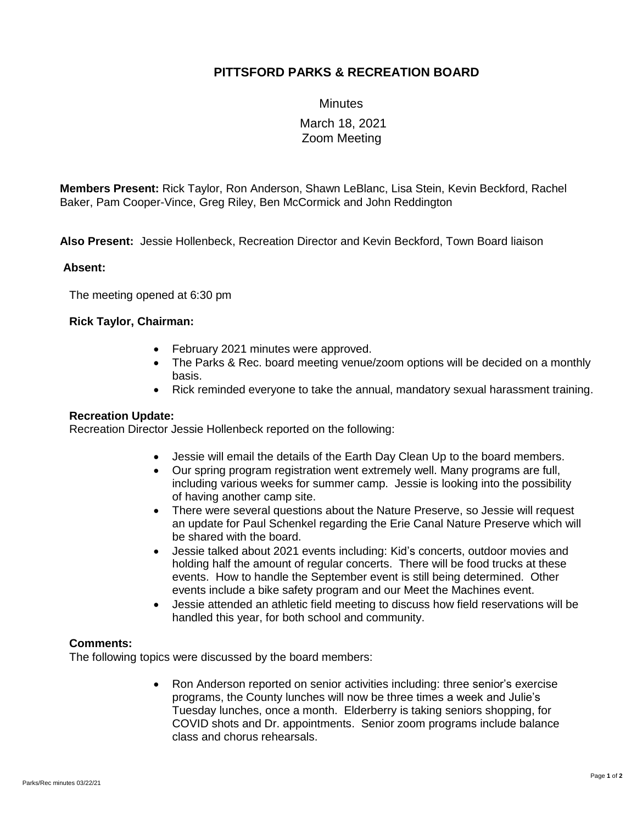## **PITTSFORD PARKS & RECREATION BOARD**

**Minutes** 

# March 18, 2021 Zoom Meeting

**Members Present:** Rick Taylor, Ron Anderson, Shawn LeBlanc, Lisa Stein, Kevin Beckford, Rachel Baker, Pam Cooper-Vince, Greg Riley, Ben McCormick and John Reddington

**Also Present:** Jessie Hollenbeck, Recreation Director and Kevin Beckford, Town Board liaison

### **Absent:**

The meeting opened at 6:30 pm

### **Rick Taylor, Chairman:**

- February 2021 minutes were approved.
- The Parks & Rec. board meeting venue/zoom options will be decided on a monthly basis.
- Rick reminded everyone to take the annual, mandatory sexual harassment training.

### **Recreation Update:**

Recreation Director Jessie Hollenbeck reported on the following:

- Jessie will email the details of the Earth Day Clean Up to the board members.
- Our spring program registration went extremely well. Many programs are full, including various weeks for summer camp. Jessie is looking into the possibility of having another camp site.
- There were several questions about the Nature Preserve, so Jessie will request an update for Paul Schenkel regarding the Erie Canal Nature Preserve which will be shared with the board.
- Jessie talked about 2021 events including: Kid's concerts, outdoor movies and holding half the amount of regular concerts. There will be food trucks at these events. How to handle the September event is still being determined. Other events include a bike safety program and our Meet the Machines event.
- Jessie attended an athletic field meeting to discuss how field reservations will be handled this year, for both school and community.

### **Comments:**

The following topics were discussed by the board members:

• Ron Anderson reported on senior activities including: three senior's exercise programs, the County lunches will now be three times a week and Julie's Tuesday lunches, once a month. Elderberry is taking seniors shopping, for COVID shots and Dr. appointments. Senior zoom programs include balance class and chorus rehearsals.